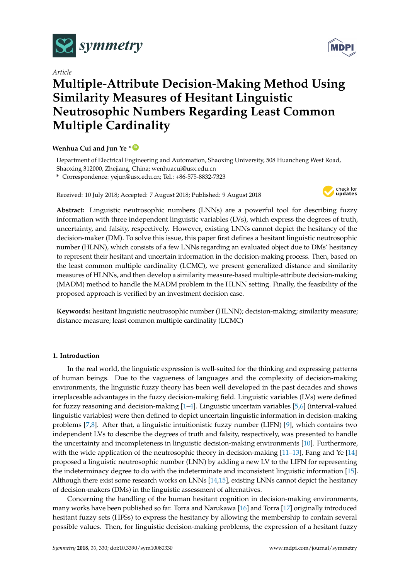

*Article*

# **Multiple-Attribute Decision-Making Method Using Similarity Measures of Hesitant Linguistic Neutrosophic Numbers Regarding Least Common Multiple Cardinality**

## **Wenhua Cui and Jun Ye \* [ID](https://orcid.org/0000-0003-2841-6529)**

Department of Electrical Engineering and Automation, Shaoxing University, 508 Huancheng West Road, Shaoxing 312000, Zhejiang, China; wenhuacui@usx.edu.cn

**\*** Correspondence: yejun@usx.edu.cn; Tel.: +86-575-8832-7323

Received: 10 July 2018; Accepted: 7 August 2018; Published: 9 August 2018



**Abstract:** Linguistic neutrosophic numbers (LNNs) are a powerful tool for describing fuzzy information with three independent linguistic variables (LVs), which express the degrees of truth, uncertainty, and falsity, respectively. However, existing LNNs cannot depict the hesitancy of the decision-maker (DM). To solve this issue, this paper first defines a hesitant linguistic neutrosophic number (HLNN), which consists of a few LNNs regarding an evaluated object due to DMs' hesitancy to represent their hesitant and uncertain information in the decision-making process. Then, based on the least common multiple cardinality (LCMC), we present generalized distance and similarity measures of HLNNs, and then develop a similarity measure-based multiple-attribute decision-making (MADM) method to handle the MADM problem in the HLNN setting. Finally, the feasibility of the proposed approach is verified by an investment decision case.

**Keywords:** hesitant linguistic neutrosophic number (HLNN); decision-making; similarity measure; distance measure; least common multiple cardinality (LCMC)

## **1. Introduction**

In the real world, the linguistic expression is well-suited for the thinking and expressing patterns of human beings. Due to the vagueness of languages and the complexity of decision-making environments, the linguistic fuzzy theory has been well developed in the past decades and shows irreplaceable advantages in the fuzzy decision-making field. Linguistic variables (LVs) were defined for fuzzy reasoning and decision-making [\[1–](#page-10-0)[4\]](#page-10-1). Linguistic uncertain variables [\[5,](#page-10-2)[6\]](#page-10-3) (interval-valued linguistic variables) were then defined to depict uncertain linguistic information in decision-making problems [\[7](#page-10-4)[,8\]](#page-10-5). After that, a linguistic intuitionistic fuzzy number (LIFN) [\[9\]](#page-10-6), which contains two independent LVs to describe the degrees of truth and falsity, respectively, was presented to handle the uncertainty and incompleteness in linguistic decision-making environments [\[10\]](#page-10-7). Furthermore, with the wide application of the neutrosophic theory in decision-making [\[11–](#page-10-8)[13\]](#page-10-9), Fang and Ye [\[14\]](#page-10-10) proposed a linguistic neutrosophic number (LNN) by adding a new LV to the LIFN for representing the indeterminacy degree to do with the indeterminate and inconsistent linguistic information [\[15\]](#page-10-11). Although there exist some research works on LNNs [\[14,](#page-10-10)[15\]](#page-10-11), existing LNNs cannot depict the hesitancy of decision-makers (DMs) in the linguistic assessment of alternatives.

Concerning the handling of the human hesitant cognition in decision-making environments, many works have been published so far. Torra and Narukawa [\[16\]](#page-10-12) and Torra [\[17\]](#page-10-13) originally introduced hesitant fuzzy sets (HFSs) to express the hesitancy by allowing the membership to contain several possible values. Then, for linguistic decision-making problems, the expression of a hesitant fuzzy

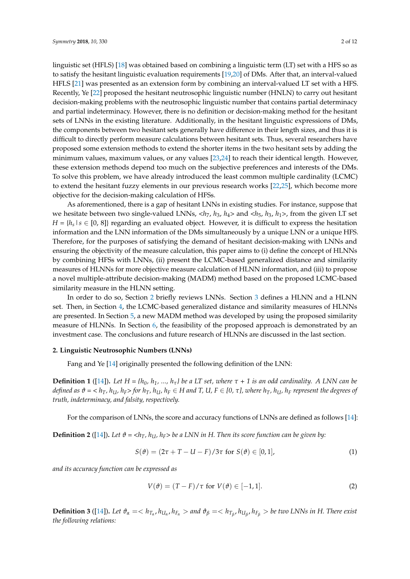linguistic set (HFLS) [\[18\]](#page-10-14) was obtained based on combining a linguistic term (LT) set with a HFS so as to satisfy the hesitant linguistic evaluation requirements [\[19,](#page-10-15)[20\]](#page-10-16) of DMs. After that, an interval-valued HFLS [\[21\]](#page-10-17) was presented as an extension form by combining an interval-valued LT set with a HFS. Recently, Ye [\[22\]](#page-10-18) proposed the hesitant neutrosophic linguistic number (HNLN) to carry out hesitant decision-making problems with the neutrosophic linguistic number that contains partial determinacy and partial indeterminacy. However, there is no definition or decision-making method for the hesitant sets of LNNs in the existing literature. Additionally, in the hesitant linguistic expressions of DMs, the components between two hesitant sets generally have difference in their length sizes, and thus it is difficult to directly perform measure calculations between hesitant sets. Thus, several researchers have proposed some extension methods to extend the shorter items in the two hesitant sets by adding the minimum values, maximum values, or any values [\[23](#page-11-0)[,24\]](#page-11-1) to reach their identical length. However, these extension methods depend too much on the subjective preferences and interests of the DMs. To solve this problem, we have already introduced the least common multiple cardinality (LCMC) to extend the hesitant fuzzy elements in our previous research works [\[22,](#page-10-18)[25\]](#page-11-2), which become more objective for the decision-making calculation of HFSs.

As aforementioned, there is a gap of hesitant LNNs in existing studies. For instance, suppose that we hesitate between two single-valued LNNs,  $\langle h_7, h_3, h_4 \rangle$  and  $\langle h_5, h_3, h_1 \rangle$ , from the given LT set  $H = \{h_s | s \in [0, 8]\}$  regarding an evaluated object. However, it is difficult to express the hesitation information and the LNN information of the DMs simultaneously by a unique LNN or a unique HFS. Therefore, for the purposes of satisfying the demand of hesitant decision-making with LNNs and ensuring the objectivity of the measure calculation, this paper aims to (i) define the concept of HLNNs by combining HFSs with LNNs, (ii) present the LCMC-based generalized distance and similarity measures of HLNNs for more objective measure calculation of HLNN information, and (iii) to propose a novel multiple-attribute decision-making (MADM) method based on the proposed LCMC-based similarity measure in the HLNN setting.

In order to do so, Section [2](#page-1-0) briefly reviews LNNs. Section [3](#page-2-0) defines a HLNN and a HLNN set. Then, in Section [4,](#page-2-1) the LCMC-based generalized distance and similarity measures of HLNNs are presented. In Section [5,](#page-5-0) a new MADM method was developed by using the proposed similarity measure of HLNNs. In Section [6,](#page-6-0) the feasibility of the proposed approach is demonstrated by an investment case. The conclusions and future research of HLNNs are discussed in the last section.

#### <span id="page-1-0"></span>**2. Linguistic Neutrosophic Numbers (LNNs)**

Fang and Ye [\[14\]](#page-10-10) originally presented the following definition of the LNN:

**Definition 1** ([\[14\]](#page-10-10)). Let  $H = \{h_0, h_1, ..., h_\tau\}$  be a LT set, where  $\tau + 1$  is an odd cardinality. A LNN can be defined as  $\vartheta = \langle h_T, h_U, h_F \rangle$  for  $h_T, h_U, h_F \in H$  and T, U,  $F \in [0, \tau]$ , where  $h_T, h_U, h_F$  represent the degrees of *truth, indeterminacy, and falsity, respectively.*

For the comparison of LNNs, the score and accuracy functions of LNNs are defined as follows [\[14\]](#page-10-10):

**Definition 2** ([\[14\]](#page-10-10)). Let  $\vartheta = \langle h_T, h_U, h_F \rangle$  be a LNN in H. Then its score function can be given by:

$$
S(\theta) = (2\tau + T - U - F)/3\tau \text{ for } S(\theta) \in [0,1],
$$
 (1)

*and its accuracy function can be expressed as*

$$
V(\vartheta) = (T - F)/\tau \text{ for } V(\vartheta) \in [-1, 1].
$$
 (2)

**Definition 3** ([\[14\]](#page-10-10)). Let  $\theta_{\alpha} = h_{T_{\alpha}}$ ,  $h_{U_{\alpha}}$ ,  $h_{F_{\alpha}} >$  and  $\theta_{\beta} = h_{T_{\beta}}$ ,  $h_{U_{\beta}}$ ,  $h_{F_{\beta}} >$  be two LNNs in H. There exist *the following relations:*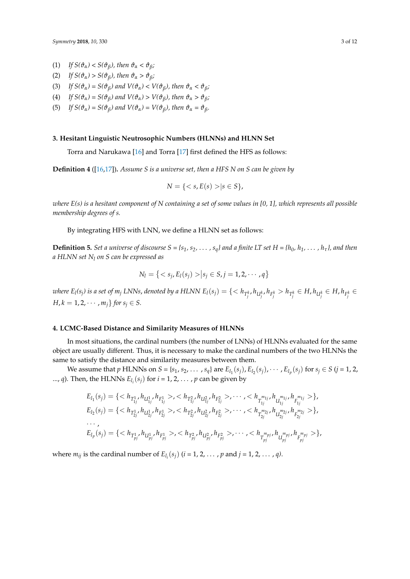- (1) *If*  $S(\vartheta_\alpha) < S(\vartheta_\beta)$ , then  $\vartheta_\alpha < \vartheta_\beta$ ;
- (2) *If*  $S(\vartheta_\alpha) > S(\vartheta_\beta)$ , then  $\vartheta_\alpha > \vartheta_\beta$ ;
- (3) *If*  $S(\vartheta_\alpha) = S(\vartheta_\beta)$  and  $V(\vartheta_\alpha) < V(\vartheta_\beta)$ , then  $\vartheta_\alpha < \vartheta_\beta$ ;
- (4) *If*  $S(\vartheta_\alpha) = S(\vartheta_\beta)$  and  $V(\vartheta_\alpha) > V(\vartheta_\beta)$ , then  $\vartheta_\alpha > \vartheta_\beta$ ;
- (5) *If*  $S(\vartheta_\alpha) = S(\vartheta_\beta)$  and  $V(\vartheta_\alpha) = V(\vartheta_\beta)$ , then  $\vartheta_\alpha = \vartheta_\beta$ .

#### <span id="page-2-0"></span>**3. Hesitant Linguistic Neutrosophic Numbers (HLNNs) and HLNN Set**

Torra and Narukawa [\[16\]](#page-10-12) and Torra [\[17\]](#page-10-13) first defined the HFS as follows:

**Definition 4** ([\[16,](#page-10-12)[17\]](#page-10-13))**.** *Assume S is a universe set, then a HFS N on S can be given by*

$$
N = \{ \langle s, E(s) \rangle | s \in S \},
$$

*where E(s) is a hesitant component of N containing a set of some values in [0, 1], which represents all possible membership degrees of s.*

By integrating HFS with LNN, we define a HLNN set as follows:

**Definition 5.** Set a universe of discourse  $S = \{s_1, s_2, \ldots, s_q\}$  and a finite LT set  $H = \{h_0, h_1, \ldots, h_\tau\}$ , and then *a HLNN set N<sup>l</sup> on S can be expressed as*

$$
N_l = \{ \langle s_j, E_l(s_j) \rangle | s_j \in S, j = 1, 2, \cdots, q \}
$$

where  $E_l(s_j)$  is a set of  $m_j$  LNNs, denoted by a HLNN  $E_l(s_j)=\{< h_{T^k_j},h_{U^k_j},h_{F^k_j}>h_{T^k_j}\in H,h_{U^k_j}\in H,h_{F^k_j}\in H)$ *H*,  $k = 1, 2, \cdots, m_j$  *for*  $s_j \in S$ .

#### <span id="page-2-1"></span>**4. LCMC-Based Distance and Similarity Measures of HLNNs**

In most situations, the cardinal numbers (the number of LNNs) of HLNNs evaluated for the same object are usually different. Thus, it is necessary to make the cardinal numbers of the two HLNNs the same to satisfy the distance and similarity measures between them.

We assume that p HLNNs on  $S = \{s_1, s_2, ..., s_q\}$  are  $E_{l_1}(s_j), E_{l_2}(s_j), \cdots, E_{l_p}(s_j)$  for  $s_j \in S$   $(j = 1, 2, 3)$ ..., *q*). Then, the HLNNs  $E_{l_i}(s_j)$  for  $i = 1, 2, ..., p$  can be given by

$$
E_{l_1}(s_j) = \{ \langle h_{T_{1j}^1}, h_{U_{1j}^1}, h_{F_{1j}^1} > \rangle, \langle h_{T_{1j}^2}, h_{U_{1j}^2}, h_{F_{1j}^2} > \rangle, \dots, \langle h_{T_{1j}^{m_{1j}}}, h_{U_{1j}^{m_{1j}}}, h_{F_{1j}^{m_{1j}}} > \rangle, \nE_{l_2}(s_j) = \{ \langle h_{T_{2j}^1}, h_{U_{2j}^1}, h_{F_{2j}^1} > \rangle, \langle h_{T_{2j}^2}, h_{U_{2j}^2}, h_{F_{2j}^2} > \rangle, \dots, \langle h_{T_{2j}^{m_{2j}}}, h_{U_{2j}^{m_{2j}}}, h_{F_{2j}^{m_{2j}}} > \} \}, \n\cdots, \nE_{l_p}(s_j) = \{ \langle h_{T_{pj}^1}, h_{U_{pj}^1}, h_{F_{pj}^1} > \rangle, \langle h_{T_{pj}^2}, h_{U_{pj}^2}, h_{F_{pj}^2} > \rangle, \dots, \langle h_{T_{pj}^{m_{pj}}}, h_{U_{pj}^{m_{pj}}}, h_{F_{pj}^{m_{pj}}} > \} \},
$$

where  $m_{ij}$  is the cardinal number of  $E_{l_i}(s_j)$  ( $i = 1, 2, ..., p$  and  $j = 1, 2, ..., q$ ).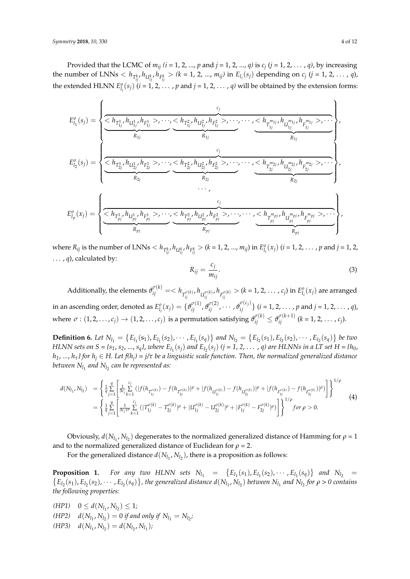Provided that the LCMC of *mij (i* = 1, 2, ..., *p* and *j* = 1, 2, ..., *q)* is *c<sup>j</sup>* (*j* = 1, 2, . . . , *q)*, by increasing the number of LNNs  $\langle h_{T_{ij}^k}, h_{U_{ij}^k}, h_{F_{ij}^k} \rangle$   $(k = 1, 2, ..., m_{ij})$  in  $E_{l_i}(s_j)$  depending on  $c_j$   $(j = 1, 2, ..., q)$ , the extended HLNN  $E_{l_i}^o(s_j)$   $(i = 1, 2, ..., p$  and  $j = 1, 2, ..., q$ ) will be obtained by the extension forms:

$$
E_{I_{1}}^{o}(s_{j}) = \left\{\underbrace{\underbrace{\left\langle h_{T_{1j}}^{1}, h_{U_{1j}^{1}}^{1}, h_{F_{1j}^{1}}^{1}, \dots, \underbrace{\left\langle h_{T_{2j}}^{2}, h_{U_{2j}^{2}}, h_{F_{2j}^{2}}^{2}, \dots, \dots, \underbrace{\left\langle h_{T_{1j}^{m_{1j}}}, h_{U_{1j}^{m_{1j}}}, h_{F_{1j}^{m_{1j}}^{m_{1j}}}, \dots, \underbrace{\left\langle h_{T_{2j}^{1}}^{2}, h_{U_{2j}^{1}}^{2}, \dots, \underbrace{\left\langle h_{T_{2j}^{1}}^{2}, h_{U_{2j}^{1}}^{2}, \dots, \underbrace{\left\langle h_{T_{2j}^{2}, Y_{2j}}^{2}, \dots, \dots, \left\langle h_{T_{2j}^{m_{2j}}}, h_{U_{2j}^{m_{2j}}}, \dots, \underbrace{\left\langle h_{T_{2j}^{m_{2j}}}, h_{F_{2j}^{m_{2j}}}, \dots, \left\langle h_{T_{2j}^{m_{2j}}}, \dots, \underbrace{\left\langle h_{T_{2j}^{m_{2j}}}, h_{T_{2j}^{m_{2j}}}, \dots, \left\langle h_{T_{2j}^{m_{2j}}}, \dots, \underbrace{\left\langle h_{T_{2j}^{1}}^{2}, \dots, \left\langle h_{T_{2j}^{2}, Y_{2j}}^{2}, \dots, \left\langle h_{T_{2j}^{m_{2j}}}, \dots, \underbrace{\left\langle h_{T_{2j}^{m_{2j}}}, \dots, \left\langle h_{T_{2j}^{m_{2j}}}, \dots, \underbrace{\left\langle h_{T_{2j}^{m_{2j}}}, \dots, \left\langle h_{T_{2j}^{m_{2j}}}, \dots, \left\langle h_{T_{2j}^{m_{2j}}}, \dots, \underbrace{\left\langle h_{T_{2j}^{m_{2j}}}, \dots, \left\langle h_{T_{2j}^{m_{2j}}}, \dots, \left\langle h_{T_{2j}^{m_{2j}}}, \dots, \left\langle h_{T_{2j}^{m_{2j}}}, \dots, \left\langle h_{T_{2j}^{m_{2j}}}, \dots, \left\langle h_{T_{2j}^{m_{2j}}}, \dots, \left\langle h_{T_{2j}^{m_{2j}}}, \dots, \left\
$$

where  $R_{ij}$  is the number of LNNs  $\langle h_{T_{ij}^k}, h_{U_{ij}^k}, h_{F_{ij}^k} \rangle$   $(k = 1, 2, ..., m_{ij})$  in  $E_{l_i}^o(x_j)$   $(i = 1, 2, ..., p$  and  $j = 1, 2, ...$  $\ldots$ , *q*), calculated by:

$$
R_{ij} = \frac{c_j}{m_{ij}}.\tag{3}
$$

Additionally, the elements  $\vartheta_{ij}^{\sigma(k)}=(k=1,2,\ldots,c_j)$  in  $E_{l_i}^o(x_j)$  are arranged *ij ij ij* in an ascending order, denoted as  $E_{l_i}^o(x_j)=\{\vartheta_{ij}^{\sigma(1)},\vartheta_{ij}^{\sigma(2)},\cdots,\vartheta_{ij}^{\sigma(c_j)}\}$   $(i=1,2,\ldots,p$  and  $j=1,2,\ldots$  ,  $q$ ), where  $\sigma:(1,2,\ldots,c_j)\to (1,2,\ldots,c_j)$  is a permutation satisfying  $\vartheta_{ij}^{\sigma(k)}\leq \vartheta_{ij}^{\sigma(k+1)}$   $(k=1,2,\ldots,c_j).$ 

**Definition 6.** Let  $N_{l_1} = \{E_{l_1}(s_1), E_{l_1}(s_2), \cdots, E_{l_1}(s_q)\}\$  and  $N_{l_2} = \{E_{l_2}(s_1), E_{l_2}(s_2), \cdots, E_{l_2}(s_q)\}\$  be two HLNN sets on  $S = \{s_1, s_2, ..., s_q\}$ , where  $E_{l_1}(s_j)$  and  $E_{l_2}(s_j)$  (j = 1, 2,  $\ldots$  , q) are HLNNs in a LT set H = { $h_0$ , *h1*, *...*, *hτ} for h<sup>j</sup>* ∈ *H. Let f(h<sup>j</sup> ) = j/τ be a linguistic scale function. Then, the normalized generalized distance* between  $N_{l_1}$  and  $N_{l_2}$  can be represented as:

$$
d(N_{l_1}, N_{l_2}) = \left\{ \frac{1}{q} \sum_{j=1}^q \left[ \frac{1}{3c_j} \sum_{k=1}^{c_j} \left( |f(h_{T_{1j}^{\sigma(k)}}) - f(h_{T_{2j}^{\sigma(k)}})|^{\rho} + |f(h_{U_{1j}^{\sigma(k)}}) - f(h_{U_{2j}^{\sigma(k)}})|^{\rho} + |f(h_{F_{1j}^{\sigma(k)}}) - f(h_{F_{2j}^{\sigma(k)}})|^{\rho} \right] \right\}^{1/\rho}
$$
  
= 
$$
\left\{ \frac{1}{q} \sum_{j=1}^q \left[ \frac{1}{3c_j \tau^{\rho}} \sum_{k=1}^{c_j} \left( |T_{1j}^{\sigma(k)} - T_{2j}^{\sigma(k)}|^{\rho} + |U_{1j}^{\sigma(k)} - U_{2j}^{\sigma(k)}|^{\rho} + |F_{1j}^{\sigma(k)} - F_{2j}^{\sigma(k)}|^{\rho} \right) \right] \right\}^{1/\rho} for \ \rho > 0.
$$
 (4)

Obviously,  $d(N_{l_1}, N_{l_2})$  degenerates to the normalized generalized distance of Hamming for  $\rho = 1$ and to the normalized generalized distance of Euclidean for  $\rho = 2$ .

For the generalized distance  $d(N_{l_1}, N_{l_2})$ , there is a proposition as follows:

**Proposition 1.** *For any two HLNN sets*  $N_{l_1} = \{E_{l_1}(s_1), E_{l_1}(s_2), \cdots, E_{l_1}(s_q)\}$  *and*  $N_{l_2} = \{E_{l_1}(s_1), E_{l_2}(s_2), \cdots, E_{l_s}(s_q)\}$ , the generalized distance  $d(N_{l_1}, N_{l_2})$  between  $N_{l_1}$  and  $N_{l_2}$  for  $\rho > 0$  $E_{l_2}(s_1)$ ,  $E_{l_2}(s_2)$ ,  $\cdots$ ,  $E_{l_2}(s_q)$ , the generalized distance  $d(N_{l_1}, N_{l_2})$  between  $N_{l_1}$  and  $N_{l_2}$  for  $\rho > 0$  contains *the following properties:*

- $(HP1)$   $0 \leq d(N_{l_1}, N_{l_2}) \leq 1;$
- $(dNP2)$  *d*( $N_{l_1}, N_{l_2}$ ) = 0 *if and only if*  $N_{l_1} = N_{l_2}$ ;
- $(dHP3)$   $d(N_{l_1}, N_{l_2}) = d(N_{l_2}, N_{l_1});$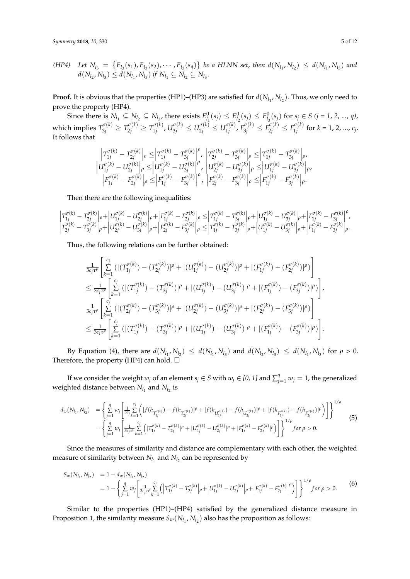(*HP4*) Let 
$$
N_{l_3} = \{E_{l_3}(s_1), E_{l_3}(s_2), \cdots, E_{l_3}(s_q)\}
$$
 be a HLNN set, then  $d(N_{l_1}, N_{l_2}) \le d(N_{l_1}, N_{l_3})$  and  $d(N_{l_2}, N_{l_3}) \le d(N_{l_1}, N_{l_3})$  if  $N_{l_1} \subseteq N_{l_2} \subseteq N_{l_3}$ .

**Proof.** It is obvious that the properties (HP1)–(HP3) are satisfied for  $d(N_{l_1}, N_{l_2})$ . Thus, we only need to prove the property (HP4).

Since there is  $N_{l_1} \subseteq N_{l_2} \subseteq N_{l_3}$ , there exists  $E^0_{l_1}(s_j) \le E^0_{l_2}(s_j) \le E^0_{l_3}(s_j)$  for  $s_j \in S$   $(j = 1, 2, ..., q)$ , which implies  $T^{\sigma(k)}_{3j} \geq T^{\sigma(k)}_{2j} \geq T^{\sigma(k)}_{1j}$  $U^{\sigma(k)}_{1j}$ ,  $U^{\sigma(k)}_{3j} \leq U^{\sigma(k)}_{2j} \leq U^{\sigma(k)}_{1j}$  $F_{1j}^{\sigma(k)}$ ,  $F_{3j}^{\sigma(k)} \leq F_{2j}^{\sigma(k)} \leq F_{1j}^{\sigma(k)}$  $f_{1j}^{(k)}$  for  $k = 1, 2, ..., c_j$ . It follows that

$$
\begin{array}{l} \left|T_{1j}^{\sigma(k)}-T_{2j}^{\sigma(k)}\right|\rho\leq\left|T_{1j}^{\sigma(k)}-T_{3j}^{\sigma(k)}\right|^\rho, \ \left|T_{2j}^{\sigma(k)}-T_{3j}^{\sigma(k)}\right|\rho\leq\left|T_{1j}^{\sigma(k)}-T_{3j}^{\sigma(k)}\right|\rho, \\ \left|U_{1j}^{\sigma(k)}-U_{2j}^{\sigma(k)}\right|\rho\leq\left|U_{1j}^{\sigma(k)}-U_{3j}^{\sigma(k)}\right|^\rho, \ \left|U_{2j}^{\sigma(k)}-U_{3j}^{\sigma(k)}\right|\rho\leq\left|U_{1j}^{\sigma(k)}-U_{3j}^{\sigma(k)}\right|\rho, \\ \left|F_{1j}^{\sigma(k)}-F_{2j}^{\sigma(k)}\right|\rho\leq\left|F_{1j}^{\sigma(k)}-F_{3j}^{\sigma(k)}\right|^\rho, \ \left|F_{2j}^{\sigma(k)}-F_{3j}^{\sigma(k)}\right|\rho\leq\left|F_{1j}^{\sigma(k)}-F_{3j}^{\sigma(k)}\right|\rho.\end{array}
$$

Then there are the following inequalities:

$$
\begin{vmatrix} T_{1j}^{\sigma(k)}-T_{2j}^{\sigma(k)}\Big| \rho+\Big|U_{1j}^{\sigma(k)}-U_{2j}^{\sigma(k)}\Big| \rho+\Big|F_{1j}^{\sigma(k)}-F_{2j}^{\sigma(k)}\Big| \rho+\Big|F_{1j}^{\sigma(k)}-F_{2j}^{\sigma(k)}\Big| \rho\leq \Big|T_{1j}^{\sigma(k)}-T_{3j}^{\sigma(k)}\Big| \rho+\Big|U_{1j}^{\sigma(k)}-U_{3j}^{\sigma(k)}\Big| \rho+\Big|F_{1j}^{\sigma(k)}-F_{3j}^{\sigma(k)}\Big| \rho\Big|T_{1j}^{\sigma(k)}-T_{2j}^{\sigma(k)}\Big| \rho+\Big|U_{1j}^{\sigma(k)}-U_{3j}^{\sigma(k)}\Big| \rho+\Big|F_{1j}^{\sigma(k)}-F_{3j}^{\sigma(k)}\Big| \rho+\Big|F_{1j}^{\sigma(k)}-F_{3j}^{\sigma(k)}\Big| \rho\Big|.
$$

Thus, the following relations can be further obtained:

$$
\frac{1}{3c_j\tau^{\rho}}\left[\sum_{k=1}^{c_j}(|(T_{1j}^{\sigma(k)}) - (T_{2j}^{\sigma(k)})|^{\rho} + |(U_{1j}^{\sigma(k)}) - (U_{2j}^{\sigma(k)})|^{\rho} + |(F_{1j}^{\sigma(k)}) - (F_{2j}^{\sigma(k)})|^{\rho}\right] \n\leq \frac{1}{3c_j\tau^{\rho}}\left[\sum_{k=1}^{c_j}(|(T_{1j}^{\sigma(k)}) - (T_{3j}^{\sigma(k)})|^{\rho} + |(U_{1j}^{\sigma(k)}) - (U_{3j}^{\sigma(k)})|^{\rho} + |(F_{1j}^{\sigma(k)}) - (F_{3j}^{\sigma(k)})|^{\rho}\right],\n\frac{1}{3c_j\tau^{\rho}}\left[\sum_{k=1}^{c_j}(|(T_{2j}^{\sigma(k)}) - (T_{3j}^{\sigma(k)})|^{\rho} + |(U_{2j}^{\sigma(k)}) - (U_{3j}^{\sigma(k)})|^{\rho} + |(F_{2j}^{\sigma(k)}) - (F_{3j}^{\sigma(k)})|^{\rho}\right] \n\leq \frac{1}{3c_j\tau^{\rho}}\left[\sum_{k=1}^{c_j}(|(T_{1j}^{\sigma(k)}) - (T_{3j}^{\sigma(k)})|^{\rho} + |(U_{1j}^{\sigma(k)}) - (U_{3j}^{\sigma(k)})|^{\rho} + |(F_{1j}^{\sigma(k)}) - (F_{3j}^{\sigma(k)})|^{\rho}\right].
$$

By Equation (4), there are  $d(N_{l_1}, N_{l_2}) \leq d(N_{l_1}, N_{l_3})$  and  $d(N_{l_2}, N_{l_3}) \leq d(N_{l_1}, N_{l_3})$  for  $\rho > 0$ . Therefore, the property (HP4) can hold.  $\square$ 

If we consider the weight  $w_j$  of an element  $s_j \in S$  with  $w_j \in [0, 1]$  and  $\sum_{j=1}^q w_j = 1$ , the generalized weighted distance between  $N_{l_1}$  and  $N_{l_2}$  is

$$
d_w(N_{l_1}, N_{l_2}) = \left\{ \sum_{j=1}^q w_j \left[ \frac{1}{3c_j} \sum_{k=1}^{c_j} \left( |f(h_{T_{l_j}^{\sigma(k)}}) - f(h_{T_{2j}^{\sigma(k)}})|^{\rho} + |f(h_{U_{l_j}^{\sigma(k)}}) - f(h_{U_{2j}^{\sigma(k)}})|^{\rho} + |f(h_{F_{l_j}^{\sigma(k)}}) - f(h_{F_{2j}^{\sigma(k)}})|^{\rho} \right) \right] \right\}^{1/\rho}
$$
  
= 
$$
\left\{ \sum_{j=1}^q w_j \left[ \frac{1}{3c_j \tau^{\rho}} \sum_{k=1}^{c_j} \left( |T_{1j}^{\sigma(k)} - T_{2j}^{\sigma(k)}|^{\rho} + |U_{1j}^{\sigma(k)} - U_{2j}^{\sigma(k)}|^{\rho} + |F_{1j}^{\sigma(k)} - F_{2j}^{\sigma(k)}|^{\rho} \right) \right] \right\}^{1/\rho} for \ \rho > 0.
$$
 (5)

Since the measures of similarity and distance are complementary with each other, the weighted measure of similarity between  $N_{l_1}$  and  $N_{l_2}$  can be represented by

$$
S_w(N_{l_1}, N_{l_2}) = 1 - d_w(N_{l_1}, N_{l_2})
$$
  
=  $1 - \left\{ \sum_{j=1}^q w_j \left[ \frac{1}{3c_j \tau^{\rho}} \sum_{k=1}^{c_j} \left( \left| T_{1j}^{\sigma(k)} - T_{2j}^{\sigma(k)} \right| \rho + \left| U_{1j}^{\sigma(k)} - U_{2j}^{\sigma(k)} \right| \rho + \left| F_{1j}^{\sigma(k)} - F_{2j}^{\sigma(k)} \right|^{\rho} \right) \right] \right\}^{1/\rho} for \ \rho > 0.$  (6)

Similar to the properties (HP1)–(HP4) satisfied by the generalized distance measure in Proposition 1, the similarity measure  $S_w(N_{l_1}, N_{l_2})$  also has the proposition as follows: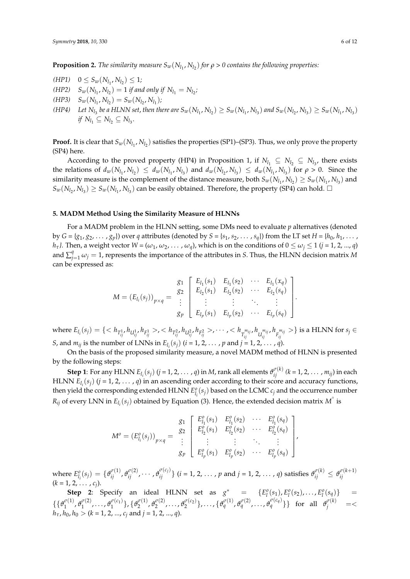**Proposition 2.** *The similarity measure*  $S_w(N_{l_1}, N_{l_2})$  *for*  $\rho > 0$  contains the following properties:

 $(HP1)$   $0 \leq S_w(N_{l_1}, N_{l_2}) \leq 1;$  $(S_w(N_{l_1}, N_{l_2}) = 1$  *if and only if*  $N_{l_1} = N_{l_2}$ ;  $(S_w(N_{l_1}, N_{l_2}) = S_w(N_{l_2}, N_{l_1});$ (HP4) Let  $N_{l_3}$  be a HLNN set, then there are  $S_w(N_{l_1}, N_{l_2}) \geq S_w(N_{l_1}, N_{l_3})$  and  $S_w(N_{l_2}, N_{l_3}) \geq S_w(N_{l_1}, N_{l_3})$  $if N_{l_1} \subseteq N_{l_2} \subseteq N_{l_3}.$ 

**Proof.** It is clear that  $S_w(N_{l_1}, N_{l_2})$  satisfies the properties (SP1)–(SP3). Thus, we only prove the property (SP4) here.

According to the proved property (HP4) in Proposition 1, if  $N_{l_1} \subseteq N_{l_2} \subseteq N_{l_3}$ , there exists the relations of  $d_w(N_{l_1}, N_{l_2}) \le d_w(N_{l_1}, N_{l_3})$  and  $d_w(N_{l_2}, N_{l_3}) \le d_w(N_{l_1}, N_{l_3})$  for  $\rho > 0$ . Since the similarity measure is the complement of the distance measure, both  $S_w(N_{l_1}, N_{l_2}) \geq S_w(N_{l_1}, N_{l_3})$  and  $S_w(N_{l_2}, N_{l_3}) \geq S_w(N_{l_1}, N_{l_3})$  can be easily obtained. Therefore, the property (SP4) can hold.  $\square$ 

#### <span id="page-5-0"></span>**5. MADM Method Using the Similarity Measure of HLNNs**

For a MADM problem in the HLNN setting, some DMs need to evaluate *p* alternatives (denoted by  $G = \{g_1, g_2, \dots, g_p\}$  over *q* attributes (denoted by  $S = \{s_1, s_2, \dots, s_q\}$ ) from the LT set  $H = \{h_0, h_1, \dots, h_q\}$ *h*<sub>τ</sub>*l*. Then, a weight vector  $W = (\omega_1, \omega_2, \dots, \omega_q)$ , which is on the conditions of  $0 \le \omega_i \le 1$  (*j* = 1, 2, ..., *q*) and  $\sum_{j=1}^{q} \omega_j = 1$ , represents the importance of the attributes in *S*. Thus, the HLNN decision matrix *M* can be expressed as:

$$
M = (E_{l_i}(s_j))_{p \times q} = \begin{array}{c} g_1 \\ g_2 \\ \vdots \\ g_p \end{array} \begin{bmatrix} E_{l_1}(s_1) & E_{l_1}(s_2) & \cdots & E_{l_1}(x_q) \\ E_{l_2}(s_1) & E_{l_2}(s_2) & \cdots & E_{l_2}(s_q) \\ \vdots & \vdots & \ddots & \vdots \\ E_{l_p}(s_1) & E_{l_p}(s_2) & \cdots & E_{l_p}(s_q) \end{array} \begin{bmatrix} \end{bmatrix}.
$$

where  $E_{l_i}(s_j)=\{< h_{T^1_{ij}}, h_{U^1_{ij}}, h_{F^1_{ij}}>, < h_{T^2_{ij}}, h_{U^2_{ij}}, h_{F^2_{ij}}>, \cdots, < h_{T^{m_{ij}}_{ij}}, h_{U^{m_{ij}}_{ij}}, h_{F^{m_{ij}}_{ij}}>\}$  is a HLNN for  $s_j \in$ *S*, and  $m_{ij}$  is the number of LNNs in  $E_{l_i}(s_j)$  ( $i = 1, 2, ..., p$  and  $j = 1, 2, ..., q$ ).

On the basis of the proposed similarity measure, a novel MADM method of HLNN is presented by the following steps:

**Step 1**: For any HLNN  $E_{l_i}(s_j)$   $(j = 1, 2, ..., q)$  in M, rank all elements  $\vartheta_{ij}^{\sigma(k)}$   $(k = 1, 2, ..., m_{ij})$  in each HLNN  $E_{l_i}(s_j)$  ( $j = 1, 2, ..., q$ ) in an ascending order according to their score and accuracy functions, then yield the corresponding extended HLNN  $E_{l_i}^o(s_j)$  based on the LCMC  $c_j$  and the occurrence number  $R_{ij}$  of every LNN in  $E_{l_i}(s_j)$  obtained by Equation (3). Hence, the extended decision matrix  $M^\circ$  is

$$
M^{o} = (E_{l_{i}}^{o}(s_{j}))_{p \times q} = \begin{bmatrix} g_{1} & E_{l_{1}}^{o}(s_{1}) & E_{l_{1}}^{o}(s_{2}) & \cdots & E_{l_{1}}^{o}(s_{q}) \\ g_{2} & E_{l_{2}}^{o}(s_{1}) & E_{l_{2}}^{o}(s_{2}) & \cdots & E_{l_{2}}^{o}(s_{q}) \\ \vdots & \vdots & \ddots & \vdots \\ g_{p} & E_{l_{p}}^{o}(s_{1}) & E_{l_{p}}^{o}(s_{2}) & \cdots & E_{l_{p}}^{o}(s_{q}) \end{bmatrix},
$$

where  $E_{l_i}^o(s_j) = \{ \vartheta_{ij}^{\sigma(1)}, \vartheta_{ij}^{\sigma(2)}, \cdots, \vartheta_{ij}^{\sigma(c_j)} \}$   $(i = 1, 2, \ldots, p$  and  $j = 1, 2, \ldots, q$ ) satisfies  $\vartheta_{ij}^{\sigma(k)} \leq \vartheta_{ij}^{\sigma(k+1)}$ *ij* (*k* = 1, 2, . . . , *c<sup>j</sup>* ).

**Step 2**: Specify an ideal HLNN set as  $g^* = \{E_l^o(s_1), E_l^o(s_2), \ldots, E_l^o(s_q)\} =$  $\{\theta_1^{\sigma(1)}\}$  $\frac{\sigma(1)}{1}, \vartheta_1^{\sigma(2)}$  $\mathcal{O}_1^{(\sigma(2)}, \ldots, \mathcal{O}_1^{(\sigma(c_1))})$  $\{ \sigma^{(\mathcal{C}_1)}_1 \}, \{ \vartheta_2^{\sigma(1)} \}$  $\frac{\varphi(1)}{2}$ ,  $\vartheta_2^{\sigma(2)}$  $\{\sigma_1^{\sigma(2)}, \ldots, \sigma_2^{\sigma(c_2)}\}, \ldots, \{\sigma_q^{\sigma(1)}, \sigma_q^{\sigma(2)}, \ldots, \sigma_q^{\sigma(c_q)}\}\} \quad \text{for \; all \; } \sigma_j^{\sigma(k)} \quad = < \delta_j^{\sigma(k)}$  $h_{\tau}$ ,  $h_0$ ,  $h_0 > (k = 1, 2, ..., c_i \text{ and } j = 1, 2, ..., q).$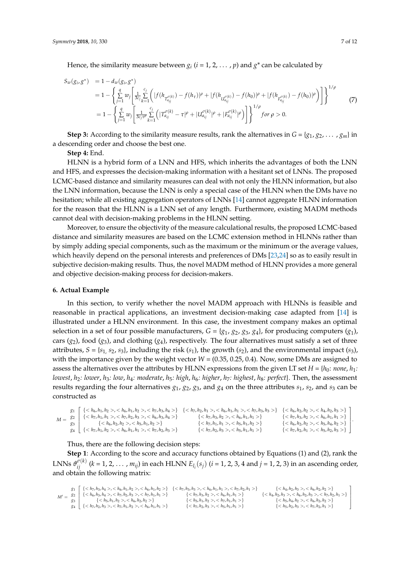Hence, the similarity measure between  $g_i$   $(i = 1, 2, ..., p)$  and  $g^*$  can be calculated by

$$
S_w(g_i, g^*) = 1 - d_w(g_i, g^*)
$$
  
\n
$$
= 1 - \left\{ \sum_{j=1}^q w_j \left[ \frac{1}{3c_j} \sum_{k=1}^{c_j} \left( |f(h_{T_{a_{ij}}^{\sigma(k)}}) - f(h_{\tau})|^{\rho} + |f(h_{U_{a_{ij}}^{\sigma(k)}}) - f(h_0)|^{\rho} + |f(h_{F_{a_{ij}}^{\sigma(k)}}) - f(h_0)|^{\rho} \right) \right] \right\}^{1/\rho}
$$
  
\n
$$
= 1 - \left\{ \sum_{j=1}^q w_j \left[ \frac{1}{3c_j \tau^{\rho}} \sum_{k=1}^{c_j} \left( |T_{a_{ij}}^{\sigma(k)} - \tau|^{\rho} + |U_{a_{ij}}^{\sigma(k)}|^{\rho} + |F_{a_{ij}}^{\sigma(k)}|^{\rho} \right) \right] \right\}^{1/\rho} for \ \rho > 0.
$$
  
\n(7)

**Step 3:** According to the similarity measure results, rank the alternatives in  $G = \{g_1, g_2, \dots, g_m\}$  in a descending order and choose the best one.

**Step 4:** End.

HLNN is a hybrid form of a LNN and HFS, which inherits the advantages of both the LNN and HFS, and expresses the decision-making information with a hesitant set of LNNs. The proposed LCMC-based distance and similarity measures can deal with not only the HLNN information, but also the LNN information, because the LNN is only a special case of the HLNN when the DMs have no hesitation; while all existing aggregation operators of LNNs [\[14\]](#page-10-10) cannot aggregate HLNN information for the reason that the HLNN is a LNN set of any length. Furthermore, existing MADM methods cannot deal with decision-making problems in the HLNN setting.

Moreover, to ensure the objectivity of the measure calculational results, the proposed LCMC-based distance and similarity measures are based on the LCMC extension method in HLNNs rather than by simply adding special components, such as the maximum or the minimum or the average values, which heavily depend on the personal interests and preferences of DMs [\[23](#page-11-0)[,24\]](#page-11-1) so as to easily result in subjective decision-making results. Thus, the novel MADM method of HLNN provides a more general and objective decision-making process for decision-makers.

#### <span id="page-6-0"></span>**6. Actual Example**

In this section, to verify whether the novel MADM approach with HLNNs is feasible and reasonable in practical applications, an investment decision-making case adapted from [\[14\]](#page-10-10) is illustrated under a HLNN environment. In this case, the investment company makes an optimal selection in a set of four possible manufacturers,  $G = \{g_1, g_2, g_3, g_4\}$ , for producing computers  $(g_1)$ , cars  $(g_2)$ , food  $(g_3)$ , and clothing  $(g_4)$ , respectively. The four alternatives must satisfy a set of three attributes,  $S = \{s_1, s_2, s_3\}$ , including the risk  $(s_1)$ , the growth  $(s_2)$ , and the environmental impact  $(s_3)$ , with the importance given by the weight vector  $W = (0.35, 0.25, 0.4)$ . Now, some DMs are assigned to assess the alternatives over the attributes by HLNN expressions from the given LT set  $H = \{h_0: \text{ none}, h_1:$ *lowest*, *h*2*: lower*, *h*3*: low*, *h*4*: moderate*, *h*5*: high*, *h*6*: higher*, *h*7*: highest*, *h*8*: perfect*}. Then, the assessment results regarding the four alternatives  $g_1$ ,  $g_2$ ,  $g_3$ , and  $g_4$  on the three attributes  $s_1$ ,  $s_2$ , and  $s_3$  can be constructed as

|                                        |                 | $g_1 \left\{ \langle h_6, h_1, h_2 \rangle, \langle h_6, h_1, h_2 \rangle, \langle h_7, h_3, h_4 \rangle \right\}$ | $\{, , \}$ | $\{< h_6, h_2, h_2>, < h_4, h_2, h_3>\}$                          |  |
|----------------------------------------|-----------------|--------------------------------------------------------------------------------------------------------------------|------------|-------------------------------------------------------------------|--|
| $M = \begin{bmatrix} 82 \end{bmatrix}$ |                 | {< $h_7, h_1, h_1$ >, < $h_7, h_2, h_3$ >, < $h_6, h_3, h_4$ >}                                                    | $\{, \}$   | $\{, \}$                                                          |  |
|                                        | $\mathcal{S}^3$ | $\{< h_6, h_2, h_2>, < h_5, h_1, h_2>\}$                                                                           | $\{, \}\$  | $\{, \}$                                                          |  |
|                                        |                 | $g_4$   {< $h_7$ , $h_1$ , $h_2$ >, < $h_6$ , $h_1$ , $h_1$ >, < $h_7$ , $h_2$ , $h_3$ >}                          | $\{, \}$   | { < $h_7$ , $h_2$ , $h_1$ >, < $h_5$ , $h_2$ , $h_3$ >} $\rfloor$ |  |

#### .Thus, there are the following decision steps:

**Step 1**: According to the score and accuracy functions obtained by Equations (1) and (2), rank the LNNs  $\vartheta_{ij}^{\sigma(k)}$  ( $k=1,2,\ldots$  ,  $m_{ij}$ ) in each HLNN  $E_{l_i}(s_j)$  ( $i=1,2,3,4$  and  $j=1,2,3$ ) in an ascending order, and obtain the following matrix:

$$
M' = \begin{array}{c} g_1\\ g_2\\ g_3\\ g_4 \end{array} \left\{ \begin{array}{l} \{, <, , <, , <\} \\ \{, <, , <\, h_7, h_1, h_2, <\} \\ \{
$$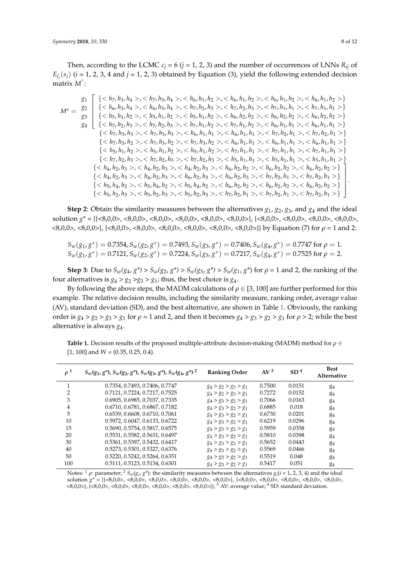Then, according to the LCMC  $c_j$  = 6 ( $j$  = 1, 2, 3) and the number of occurrences of LNNs  $R_{ij}$  of  $E_{l_i}(s_j)$  (*i* = 1, 2, 3, 4 and *j* = 1, 2, 3) obtained by Equation (3), yield the following extended decision matrix M°:

$$
g_{1} \{, < h_{7}, h_{3}, h_{4}>, < h_{6}, h_{1}, h_{2}>, < h_{6}, h_{1}, h_{2}>, < h_{6}, h_{1}, h_{2}>, < h_{6}, h_{1}, h_{2}>\}
$$
\n
$$
M^{o} = \begin{cases} \{, < h_{7}, h_{3}, h_{4}>, < h_{7}, h_{2}, h_{3}>, < h_{7}, h_{2}, h_{3}>, < h_{7}, h_{1}, h_{1}>, < h_{1} & < h_{7}, h_{1}, h_{1}>\} \{, < h_{5}, h_{1}, h_{2}>, < h_{5}, h_{1}, h_{2}>, < h_{6}, h_{2}, h_{2}>, < h_{6}, h_{2}, h_{2} & < h_{6}, h_{2}, h_{2}>\} \{, < h_{7}, h_{2}, h_{3}>, < h_{7}, h_{1}, h_{2}>, < h_{6}, h_{1}, h_{1}>, < h_{1} & < h_{6}, h_{1}, h_{1}>\} \{, < h_{7}, h_{3}, h_{3}>, < h_{6}, h_{1}, h_{1}>, < h_{7}, h_{8}, h_{9}\} \{, < h_{7}, h_{3}, h_{1} & < h_{6}, h_{1}, h_{1}>, < h_{7}, h_{8}, h_{1} & < h_{7}, h_{2}, h_{1} & < h_{8}, h_{1}, h_{1}>\} \{, < h_{7}, h_{3}, h_{2}>, < h_{7}, h_{3}, h_{2}>, < h_{6}, h_{1}, h_{1}>, < h_{8}, h_{1}, h_{1}>, < h_{1} & < h_{6}, h_{1}, h_{1}>\} \{, < h_{5}, h_{1}, h_{2}>, < h_{5}, h_{1}, h_{2}>, < h_{5}, h_{1}, h_{1} & < h_{1} & < h_{5}, h_{1}, h_{1}>\} \{, < h_{1}, h_{2}>, < h_{5}, h_{1}, h_{1} & < h_{1} & < h_{5}, h_{1}, h_{1}>\} \{
$$

**Step 2**: Obtain the similarity measures between the alternatives  $g_1$ ,  $g_2$ ,  $g_3$ , and  $g_4$  and the ideal solution *g\** = {{<8,0,0>, <8,0,0>, <8,0,0>, <8,0,0>, <8,0,0>, <8,0,0>}, {<8,0,0>, <8,0,0>, <8,0,0>, <8,0,0>, <8,0,0>, <8,0,0>}, {<8,0,0>, <8,0,0>, <8,0,0>, <8,0,0>, <8,0,0>, <8,0,0>}} by Equation (7) for *ρ* = 1 and 2:

$$
S_w(g_1, g^*) = 0.7354
$$
,  $S_w(g_2, g^*) = 0.7493$ ,  $S_w(g_3, g^*) = 0.7406$ ,  $S_w(g_4, g^*) = 0.7747$  for  $\rho = 1$ .  $S_w(g_1, g^*) = 0.7121$ ,  $S_w(g_2, g^*) = 0.7224$ ,  $S_w(g_3, g^*) = 0.7217$ ,  $S_w(g_4, g^*) = 0.7525$  for  $\rho = 2$ .

**Step 3**: Due to  $S_w(g_4, g^*)$  >  $S_w(g_2, g^*)$  >  $S_w(g_3, g^*)$  >  $S_w(g_1, g^*)$  for  $\rho = 1$  and 2, the ranking of the four alternatives is  $g_4 > g_2 > g_3 > g_1$ ; thus, the best choice is  $g_4$ .

By following the above steps, the MADM calculations of  $\rho \in [3, 100]$  are further performed for this example. The relative decision results, including the similarity measure, ranking order, average value (AV), standard deviation (SD), and the best alternative, are shown in Table [1.](#page-7-0) Obviously, the ranking order is  $g_4 > g_2 > g_3 > g_1$  for  $\rho = 1$  and 2, and then it becomes  $g_4 > g_3 > g_2 > g_1$  for  $\rho > 2$ ; while the best alternative is always *g*4.

<span id="page-7-0"></span>**Table 1.** Decision results of the proposed multiple-attribute decision-making (MADM) method for *ρ* ∈ [1, 100] and *W* = (0.35, 0.25, 0.4).

| $\rho^1$       | $S_w(g_1, g^*)$ , $S_w(g_2, g^*)$ , $S_w(g_3, g^*)$ , $S_w(g_4, g^*)$ <sup>2</sup> | <b>Ranking Order</b>    | AV <sup>3</sup> | SD <sup>4</sup> | <b>Best</b><br>Alternative |
|----------------|------------------------------------------------------------------------------------|-------------------------|-----------------|-----------------|----------------------------|
|                | 0.7354, 0.7493, 0.7406, 0.7747                                                     | $g_4 > g_2 > g_3 > g_1$ | 0.7500          | 0.0151          | $g_4$                      |
| $\overline{2}$ | 0.7121, 0.7224, 0.7217, 0.7525                                                     | $g_4 > g_2 > g_3 > g_1$ | 0.7272          | 0.0152          | $g_4$                      |
| 3              | 0.6905, 0.6985, 0.7037, 0.7335                                                     | $g_4 > g_3 > g_2 > g_1$ | 0.7066          | 0.0163          | $g_4$                      |
| $\overline{4}$ | 0.6710, 0.6781, 0.6867, 0.7182                                                     | $g_4 > g_3 > g_2 > g_1$ | 0.6885          | 0.018           | 84                         |
| 5              | 0.6539, 0.6608, 0.6710, 0.7061                                                     | $g_4 > g_3 > g_2 > g_1$ | 0.6730          | 0.0201          | 84                         |
| 10             | 0.5972, 0.6047, 0.6133, 0.6722                                                     | $g_4 > g_3 > g_2 > g_1$ | 0.6219          | 0.0296          | 84                         |
| 15             | 0.5690, 0.5754, 0.5817, 0.6575                                                     | $g_4 > g_3 > g_2 > g_1$ | 0.5959          | 0.0358          | $g_4$                      |
| 20             | 0.5531, 0.5582, 0.5631, 0.6497                                                     | $g_4 > g_3 > g_2 > g_1$ | 0.5810          | 0.0398          | $g_4$                      |
| 30             | 0.5361, 0.5397, 0.5432, 0.6417                                                     | $g_4 > g_3 > g_2 > g_1$ | 0.5652          | 0.0443          | 84                         |
| 40             | 0.5273, 0.5301, 0.5327, 0.6376                                                     | $g_4 > g_3 > g_2 > g_1$ | 0.5569          | 0.0466          | $g_4$                      |
| 50             | 0.5220, 0.5242, 0.5264, 0.6351                                                     | $g_4 > g_3 > g_2 > g_1$ | 0.5519          | 0.048           | 84                         |
| 100            | 0.5111, 0.5123, 0.5134, 0.6301                                                     | $g_4 > g_3 > g_2 > g_1$ | 0.5417          | 0.051           | $g_4$                      |

Notes: <sup>1</sup>  $ρ$ : parameter; <sup>2</sup>  $S_w(g_i, g^*)$ : the similarity measures between the alternatives  $g_i(i = 1, 2, 3, 4)$  and the ideal solution *g\** = {{<8,0,0>, <8,0,0>, <8,0,0>, <8,0,0>, <8,0,0>, <8,0,0>}, {<8,0,0>, <8,0,0>, <8,0,0>, <8,0,0>, <8,0,0>, <8,0,0>}, {<8,0,0>, <8,0,0>, <8,0,0>, <8,0,0>, <8,0,0>, <8,0,0>}}; <sup>3</sup> AV: average value; <sup>4</sup> SD: standard deviation.

.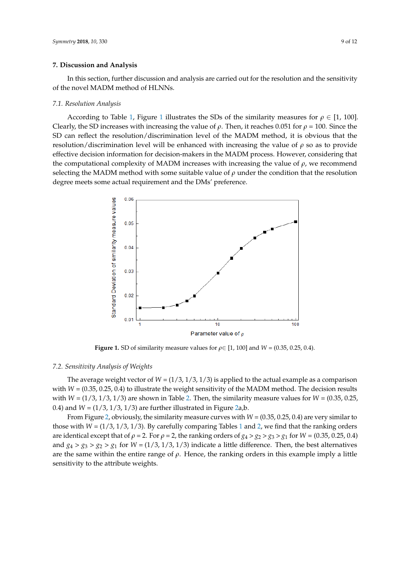#### **7. Discussion and Analysis 7. Discussion and Analysis**

In this section, further discussion and analysis are carried out for the resolution and the sensitivity In this section, further discussion and analysis are carried out for the resolution and the of the novel MADM method of HLNNs.

## *7.1. Resolution Analysis 7.1. Resolution Analysis*

According to Table [1](#page-7-0), Figure [1](#page-8-0) illustrates the SDs of the similarity measures for  $\rho \in [1, 100]$ . Clearly, the SD increases with increasing the value of  $\rho$ . Then, it reaches 0.051 for  $\rho$  = 100. Since the SD can reflect the resolution/discrimination level of the MADM method, it is obvious that the SD can reflect the resolution/discrimination level of the MADM method, it is obvious that the resolution/discrimination level will be enhanced with increasing the value of *ρ* so as to provide resolution/discrimination level will be enhanced with increasing the value of *ρ* so as to provide effective decision information for decision-makers in the MADM process. However, considering that effective decision information for decision-makers in the MADM process. However, considering the computational complexity of MADM increases with increasing the value of  $\rho$ , we recommend selecting the MADM method with some suitable value of  $\rho$  under the condition that the resolution degree meets some actual requirement and the DMs' preference.

<span id="page-8-0"></span>

**Figure 1.** SD of similarity measure values for  $\rho \in [1, 100]$  and  $W = (0.35, 0.25, 0.4)$ .

#### *7.2. Sensitivity Analysis of Weights 7.2. Sensitivity Analysis of Weights*

The average weight vector of  $W = (1/3, 1/3, 1/3)$  is applied to the actual example as a comparison with  $W = (0.35, 0.25, 0.4)$  to illustrate the weight sensitivity of the MADM method. The decision results with  $W = (1/3, 1/3, 1/3)$  are [sh](#page-9-0)own in Table 2. Then, the similarity measure values for  $W = (0.35, 0.25, 0.25, 0.35, 0.35, 0.35, 0.35, 0.35, 0.35, 0.35, 0.35, 0.35, 0.35, 0.35, 0.35, 0.35, 0.35, 0.35, 0.35, 0.35, 0.35, 0.35$ 0.4) and  $W = (1/3, 1/3, 1/3)$  are further illustr[ate](#page-9-1)d in Figure 2a,b.

From Figur[e](#page-9-1) 2, obviously, the similarity measure curves with *W* = (0.35, 0.25, 0.4) are very From Figure 2, obviously, the similarity measure curves with *W* = (0.35, 0.25, 0.4) are very similar to those with  $W = (1/3, 1/3, 1/3)$ . By carefully com[par](#page-7-0)ing [Ta](#page-9-0)bles 1 and 2, we find that the ranking orders are identical except that of  $\rho = 2$ . For  $\rho = 2$ , the ranking orders of  $g_4 > g_2 > g_3 > g_1$  for  $W = (0.35, 0.25, 0.4)$ and  $g_4 > g_3 > g_2 > g_1$  for  $W = (1/3, 1/3, 1/3)$  indicate a little difference. Then, the best alternatives are the same within the entire range of *ρ*. Hence, the ranking orders in this example imply a little sensitivity to the attribute weights.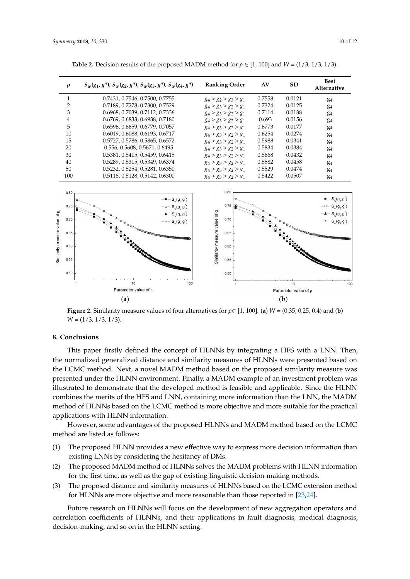<span id="page-9-1"></span>

| $\rho$                                                                      | $S_w(g_1, g^*)$ , $S_w(g_2, g^*)$ , $S_w(g_3, g^*)$ , $S_w(g_4, g^*)$                                                                                                                                                                      | <b>Ranking Order</b>                                                                  | AV     | <b>SD</b>                          | <b>Best</b><br>Alternative                                                                                                                                                                         |
|-----------------------------------------------------------------------------|--------------------------------------------------------------------------------------------------------------------------------------------------------------------------------------------------------------------------------------------|---------------------------------------------------------------------------------------|--------|------------------------------------|----------------------------------------------------------------------------------------------------------------------------------------------------------------------------------------------------|
| $\mathbf{1}$                                                                | 0.7431, 0.7546, 0.7500, 0.7755                                                                                                                                                                                                             | $g_4 > g_2 > g_3 > g_1$                                                               | 0.7558 | 0.0121                             | $g_4$                                                                                                                                                                                              |
| 2                                                                           | 0.7189, 0.7278, 0.7300, 0.7529                                                                                                                                                                                                             | $g_4 > g_3 > g_2 > g_1$                                                               | 0.7324 | 0.0125                             | g <sub>4</sub>                                                                                                                                                                                     |
| 3                                                                           | 0.6968, 0.7039, 0.7112, 0.7336                                                                                                                                                                                                             | $g_4 > g_3 > g_2 > g_1$                                                               | 0.7114 | 0.0138                             | $g_4$                                                                                                                                                                                              |
| 4                                                                           | 0.6769, 0.6833, 0.6938, 0.7180                                                                                                                                                                                                             | $g_4 > g_3 > g_2 > g_1$                                                               | 0.693  | 0.0156                             | $g_4$                                                                                                                                                                                              |
| 5                                                                           | 0.6596, 0.6659, 0.6779, 0.7057                                                                                                                                                                                                             | $g_4 > g_3 > g_2 > g_1$                                                               | 0.6773 | 0.0177                             | g <sub>4</sub>                                                                                                                                                                                     |
| 10                                                                          | 0.6019, 0.6088, 0.6193, 0.6717                                                                                                                                                                                                             | $g_4 > g_3 > g_2 > g_1$                                                               | 0.6254 | 0.0274                             | <b>g</b> <sub>4</sub>                                                                                                                                                                              |
| 15                                                                          | 0.5727, 0.5786, 0.5865, 0.6572                                                                                                                                                                                                             | $g_4 > g_3 > g_2 > g_1$                                                               | 0.5988 | 0.0341                             | g <sub>4</sub>                                                                                                                                                                                     |
| 20                                                                          | 0.556, 0.5608, 0.5671, 0.6495                                                                                                                                                                                                              | $g_4 > g_3 > g_2 > g_1$                                                               | 0.5834 | 0.0384                             | g <sub>4</sub>                                                                                                                                                                                     |
| 30                                                                          | 0.5381, 0.5415, 0.5459, 0.6415                                                                                                                                                                                                             | $g_4 > g_3 > g_2 > g_1$                                                               | 0.5668 | 0.0432                             | <b>g</b> <sub>4</sub>                                                                                                                                                                              |
| 40                                                                          | 0.5289, 0.5315, 0.5349, 0.6374                                                                                                                                                                                                             | $g_4 > g_3 > g_2 > g_1$                                                               | 0.5582 | 0.0458                             | g <sub>4</sub>                                                                                                                                                                                     |
| 50                                                                          | 0.5232, 0.5254, 0.5281, 0.6350                                                                                                                                                                                                             | $g_4 > g_3 > g_2 > g_1$                                                               | 0.5529 | 0.0474                             | <b>g</b> <sub>4</sub>                                                                                                                                                                              |
| 100                                                                         | 0.5118, 0.5128, 0.5142, 0.6300                                                                                                                                                                                                             | $g_4 > g_3 > g_2 > g_1$                                                               | 0.5422 | 0.0507                             | $g_4$                                                                                                                                                                                              |
| 0.80<br>0.75<br>⋽<br>0.70<br>0.65<br>0.60<br>0.55<br>0.50<br>$\overline{1}$ | $- - S_{w}(g_{1}, g_{0})$<br>$-$ o $-$ S <sub>w</sub> (g <sub>2</sub> ,g <sup>'</sup> )<br>$-$ <b>A</b> $-$ <b>S</b> <sub>w</sub> (g <sub>3</sub> ,g <sup>*</sup> )<br>$-\star - S_{w}(g_{4}, g^{*})$<br><b>一致女女女女女女女女女女女</b><br>10<br>100 | 0.80<br>0.75<br>Similarity measure value of g<br>0.70<br>0.65<br>0.60<br>0.55<br>0.50 |        | <b>TA TA TA TATARANG KAB</b><br>10 | $-$ = $S_{w}(g_{1}, g_{1})$<br>$-$ 0 $ S_{w}(g_{2}, g^{2})$<br>$-\blacktriangle - S_{\mathsf{w}}(\mathsf{g}_{3},\mathsf{g})$<br>$-\star-S_{\mathsf{w}}(\mathsf{g}_\mathsf{4},\mathsf{g}^*)$<br>100 |
|                                                                             | Parameter value of $\rho$                                                                                                                                                                                                                  |                                                                                       |        | Parameter value of $\rho$          |                                                                                                                                                                                                    |
|                                                                             | (a)                                                                                                                                                                                                                                        |                                                                                       |        | (b)                                |                                                                                                                                                                                                    |

<span id="page-9-0"></span>**Table 2.** Decision results of the proposed MADM method for  $\rho \in [1, 100]$  and  $W = (1/3, 1/3, 1/3)$ .

**Figure 2.** Similarity measure values of four alternatives for  $\rho \in [1, 100]$ . (a)  $W = (0.35, 0.25, 0.4)$  and (b) and (**b**) *W* = (1/3, 1/3, 1/3). *W* = (1/3, 1/3, 1/3).

# **8. Conclusions 8. Conclusions**

This paper firstly defined the concept of HLNNs by integrating a HFS with a LNN. Then, the normalized generalized distance and similarity measures of HLNNs were presented based on LCMC method. Next, a novel MADM method based on the proposed similarity measure was the LCMC method. Next, a novel MADM method based on the proposed similarity measure was presented under the HLNN environment. Finally, a MADM example of an investment problem was presented under the HLNN environment. Finally, a MADM example of an investment problem was illustrated to demonstrate that the developed method is feasible and applicable. Since the HLNN illustrated to demonstrate that the developed method is feasible and applicable. Since the HLNN combines the merits of the HFS and LNN, containing more information than the LNN, the MADM combines the merits of the HFS and LNN, containing more information than the LNN, the MADM method of HLNNs based on the LCMC method is more objective and more suitable for the practical method of HLNNs based on the LCMC method is more objective and more suitable for the practical applications with HLNN information. applications with HLNN information.

However, some advantages of the proposed HLNNs and MADM method based on the LCMC However, some advantages of the proposed HLNNs and MADM method based on the LCMC method are listed as follows: method are listed as follows:

- (1) The proposed HLNN provides a new effective way to express more decision information than (1) The proposed HLNN provides a new effective way to express more decision information than existing LNNs by considering the hesitancy of DMs. existing LNNs by considering the hesitancy of DMs.
- (2) The proposed MADM method of HLNNs solves the MADM problems with HLNN information (2) The proposed MADM method of HLNNs solves the MADM problems with HLNN information for the first time, as well as the gap of existing linguistic decision-making methods. for the first time, as well as the gap of existing linguistic decision-making methods.
- (3) The proposed distance and similarity measures of HLNNs based on the LCMC extension (3) The proposed distance and similarity measures of HLNNs based on the LCMC extension method for HLNNs are more objective and more reasonable than those reported in [\[23,](#page-11-0)[24\]](#page-11-1).

Future research on HLNNs will focus on the development of new aggregation operators and correlation coefficients of HLNNs, and their applications in fault diagnosis, medical diagnosis, decision-making, and so on in the HLNN setting.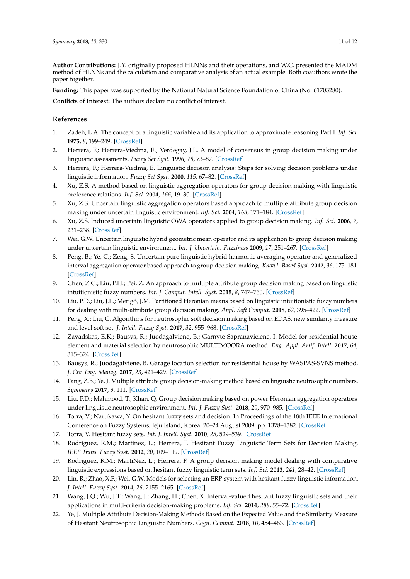**Author Contributions:** J.Y. originally proposed HLNNs and their operations, and W.C. presented the MADM method of HLNNs and the calculation and comparative analysis of an actual example. Both coauthors wrote the paper together.

**Funding:** This paper was supported by the National Natural Science Foundation of China (No. 61703280).

**Conflicts of Interest:** The authors declare no conflict of interest.

#### **References**

- <span id="page-10-0"></span>1. Zadeh, L.A. The concept of a linguistic variable and its application to approximate reasoning Part I. *Inf. Sci.* **1975**, *8*, 199–249. [\[CrossRef\]](http://dx.doi.org/10.1016/0020-0255(75)90036-5)
- 2. Herrera, F.; Herrera-Viedma, E.; Verdegay, J.L. A model of consensus in group decision making under linguistic assessments. *Fuzzy Set Syst.* **1996**, *78*, 73–87. [\[CrossRef\]](http://dx.doi.org/10.1016/0165-0114(95)00107-7)
- 3. Herrera, F.; Herrera-Viedma, E. Linguistic decision analysis: Steps for solving decision problems under linguistic information. *Fuzzy Set Syst.* **2000**, *115*, 67–82. [\[CrossRef\]](http://dx.doi.org/10.1016/S0165-0114(99)00024-X)
- <span id="page-10-1"></span>4. Xu, Z.S. A method based on linguistic aggregation operators for group decision making with linguistic preference relations. *Inf. Sci.* **2004**, *166*, 19–30. [\[CrossRef\]](http://dx.doi.org/10.1016/j.ins.2003.10.006)
- <span id="page-10-2"></span>5. Xu, Z.S. Uncertain linguistic aggregation operators based approach to multiple attribute group decision making under uncertain linguistic environment. *Inf. Sci.* **2004**, *168*, 171–184. [\[CrossRef\]](http://dx.doi.org/10.1016/j.ins.2004.02.003)
- <span id="page-10-3"></span>6. Xu, Z.S. Induced uncertain linguistic OWA operators applied to group decision making. *Inf. Sci.* **2006**, *7*, 231–238. [\[CrossRef\]](http://dx.doi.org/10.1016/j.inffus.2004.06.005)
- <span id="page-10-4"></span>7. Wei, G.W. Uncertain linguistic hybrid geometric mean operator and its application to group decision making under uncertain linguistic environment. *Int. J. Uncertain. Fuzziness* **2009**, *17*, 251–267. [\[CrossRef\]](http://dx.doi.org/10.1142/S021848850900584X)
- <span id="page-10-5"></span>8. Peng, B.; Ye, C.; Zeng, S. Uncertain pure linguistic hybrid harmonic averaging operator and generalized interval aggregation operator based approach to group decision making. *Knowl.-Based Syst.* **2012**, *36*, 175–181. [\[CrossRef\]](http://dx.doi.org/10.1016/j.knosys.2012.06.008)
- <span id="page-10-6"></span>9. Chen, Z.C.; Liu, P.H.; Pei, Z. An approach to multiple attribute group decision making based on linguistic intuitionistic fuzzy numbers. *Int. J. Comput. Intell. Syst.* **2015**, *8*, 747–760. [\[CrossRef\]](http://dx.doi.org/10.1080/18756891.2015.1061394)
- <span id="page-10-7"></span>10. Liu, P.D.; Liu, J.L.; Merigó, J.M. Partitioned Heronian means based on linguistic intuitionistic fuzzy numbers for dealing with multi-attribute group decision making. *Appl. Soft Comput.* **2018**, *62*, 395–422. [\[CrossRef\]](http://dx.doi.org/10.1016/j.asoc.2017.10.017)
- <span id="page-10-8"></span>11. Peng, X.; Liu, C. Algorithms for neutrosophic soft decision making based on EDAS, new similarity measure and level soft set. *J. Intell. Fuzzy Syst.* **2017**, *32*, 955–968. [\[CrossRef\]](http://dx.doi.org/10.3233/JIFS-161548)
- 12. Zavadskas, E.K.; Bausys, R.; Juodagalviene, B.; Garnyte-Sapranaviciene, I. Model for residential house element and material selection by neutrosophic MULTIMOORA method. *Eng. Appl. Artif. Intell.* **2017**, *64*, 315–324. [\[CrossRef\]](http://dx.doi.org/10.1016/j.engappai.2017.06.020)
- <span id="page-10-9"></span>13. Bausys, R.; Juodagalviene, B. Garage location selection for residential house by WASPAS-SVNS method. *J. Civ. Eng. Manag.* **2017**, *23*, 421–429. [\[CrossRef\]](http://dx.doi.org/10.3846/13923730.2016.1268645)
- <span id="page-10-10"></span>14. Fang, Z.B.; Ye, J. Multiple attribute group decision-making method based on linguistic neutrosophic numbers. *Symmetry* **2017**, *9*, 111. [\[CrossRef\]](http://dx.doi.org/10.3390/sym9070111)
- <span id="page-10-11"></span>15. Liu, P.D.; Mahmood, T.; Khan, Q. Group decision making based on power Heronian aggregation operators under linguistic neutrosophic environment. *Int. J. Fuzzy Syst.* **2018**, *20*, 970–985. [\[CrossRef\]](http://dx.doi.org/10.1007/s40815-018-0450-2)
- <span id="page-10-12"></span>16. Torra, V.; Narukawa, Y. On hesitant fuzzy sets and decision. In Proceedings of the 18th IEEE International Conference on Fuzzy Systems, Jeju Island, Korea, 20–24 August 2009; pp. 1378–1382. [\[CrossRef\]](http://dx.doi.org/10.1109/FUZZY.2009.5276884)
- <span id="page-10-13"></span>17. Torra, V. Hesitant fuzzy sets. *Int. J. Intell. Syst.* **2010**, *25*, 529–539. [\[CrossRef\]](http://dx.doi.org/10.1002/int.20418)
- <span id="page-10-14"></span>18. Rodríguez, R.M.; Martínez, L.; Herrera, F. Hesitant Fuzzy Linguistic Term Sets for Decision Making. *IEEE Trans. Fuzzy Syst.* **2012**, *20*, 109–119. [\[CrossRef\]](http://dx.doi.org/10.1109/TFUZZ.2011.2170076)
- <span id="page-10-15"></span>19. Rodríguez, R.M.; MartíNez, L.; Herrera, F. A group decision making model dealing with comparative linguistic expressions based on hesitant fuzzy linguistic term sets. *Inf. Sci.* **2013**, *241*, 28–42. [\[CrossRef\]](http://dx.doi.org/10.1016/j.ins.2013.04.006)
- <span id="page-10-16"></span>20. Lin, R.; Zhao, X.F.; Wei, G.W. Models for selecting an ERP system with hesitant fuzzy linguistic information. *J. Intell. Fuzzy Syst.* **2014**, *26*, 2155–2165. [\[CrossRef\]](http://dx.doi.org/10.3233/IFS-130890)
- <span id="page-10-17"></span>21. Wang, J.Q.; Wu, J.T.; Wang, J.; Zhang, H.; Chen, X. Interval-valued hesitant fuzzy linguistic sets and their applications in multi-criteria decision-making problems. *Inf. Sci.* **2014**, *288*, 55–72. [\[CrossRef\]](http://dx.doi.org/10.1016/j.ins.2014.07.034)
- <span id="page-10-18"></span>22. Ye, J. Multiple Attribute Decision-Making Methods Based on the Expected Value and the Similarity Measure of Hesitant Neutrosophic Linguistic Numbers. *Cogn. Comput.* **2018**, *10*, 454–463. [\[CrossRef\]](http://dx.doi.org/10.1007/s12559-017-9535-8)